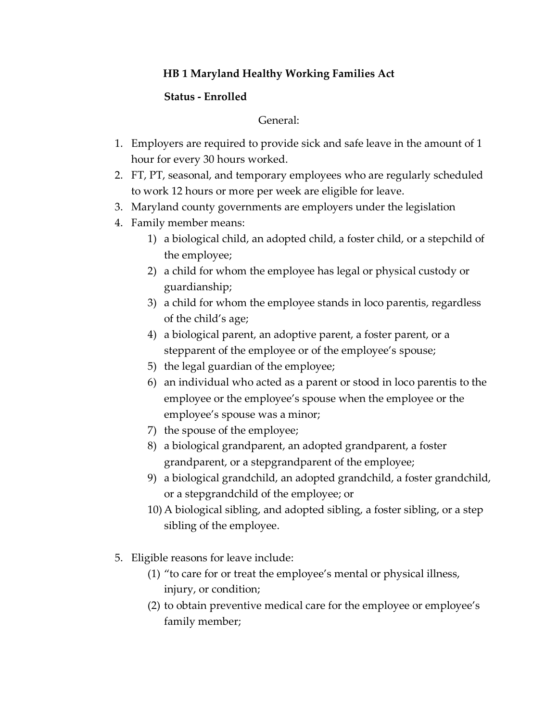## **HB 1 Maryland Healthy Working Families Act**

## **Status - Enrolled**

## General:

- 1. Employers are required to provide sick and safe leave in the amount of 1 hour for every 30 hours worked.
- 2. FT, PT, seasonal, and temporary employees who are regularly scheduled to work 12 hours or more per week are eligible for leave.
- 3. Maryland county governments are employers under the legislation
- 4. Family member means:
	- 1) a biological child, an adopted child, a foster child, or a stepchild of the employee;
	- 2) a child for whom the employee has legal or physical custody or guardianship;
	- 3) a child for whom the employee stands in loco parentis, regardless of the child's age;
	- 4) a biological parent, an adoptive parent, a foster parent, or a stepparent of the employee or of the employee's spouse;
	- 5) the legal guardian of the employee;
	- 6) an individual who acted as a parent or stood in loco parentis to the employee or the employee's spouse when the employee or the employee's spouse was a minor;
	- 7) the spouse of the employee;
	- 8) a biological grandparent, an adopted grandparent, a foster grandparent, or a stepgrandparent of the employee;
	- 9) a biological grandchild, an adopted grandchild, a foster grandchild, or a stepgrandchild of the employee; or
	- 10) A biological sibling, and adopted sibling, a foster sibling, or a step sibling of the employee.
- 5. Eligible reasons for leave include:
	- (1) "to care for or treat the employee's mental or physical illness, injury, or condition;
	- (2) to obtain preventive medical care for the employee or employee's family member;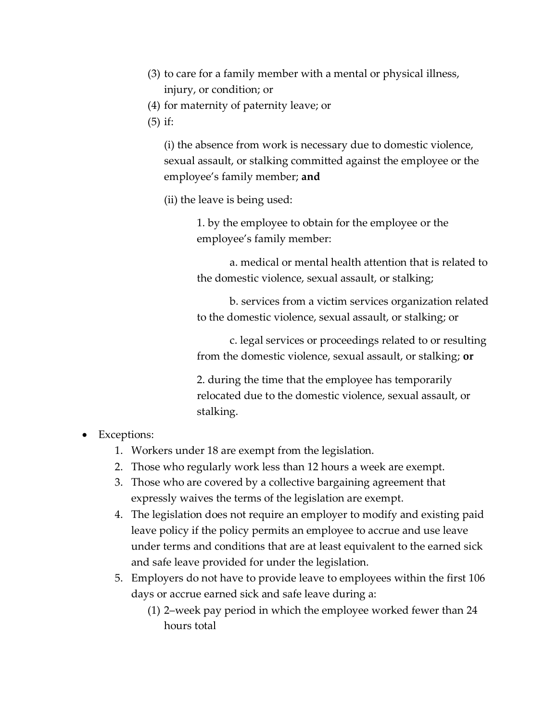- (3) to care for a family member with a mental or physical illness, injury, or condition; or
- (4) for maternity of paternity leave; or
- (5) if:

(i) the absence from work is necessary due to domestic violence, sexual assault, or stalking committed against the employee or the employee's family member; **and**

(ii) the leave is being used:

1. by the employee to obtain for the employee or the employee's family member:

a. medical or mental health attention that is related to the domestic violence, sexual assault, or stalking;

b. services from a victim services organization related to the domestic violence, sexual assault, or stalking; or

c. legal services or proceedings related to or resulting from the domestic violence, sexual assault, or stalking; **or**

2. during the time that the employee has temporarily relocated due to the domestic violence, sexual assault, or stalking.

- Exceptions:
	- 1. Workers under 18 are exempt from the legislation.
	- 2. Those who regularly work less than 12 hours a week are exempt.
	- 3. Those who are covered by a collective bargaining agreement that expressly waives the terms of the legislation are exempt.
	- 4. The legislation does not require an employer to modify and existing paid leave policy if the policy permits an employee to accrue and use leave under terms and conditions that are at least equivalent to the earned sick and safe leave provided for under the legislation.
	- 5. Employers do not have to provide leave to employees within the first 106 days or accrue earned sick and safe leave during a:
		- (1) 2–week pay period in which the employee worked fewer than 24 hours total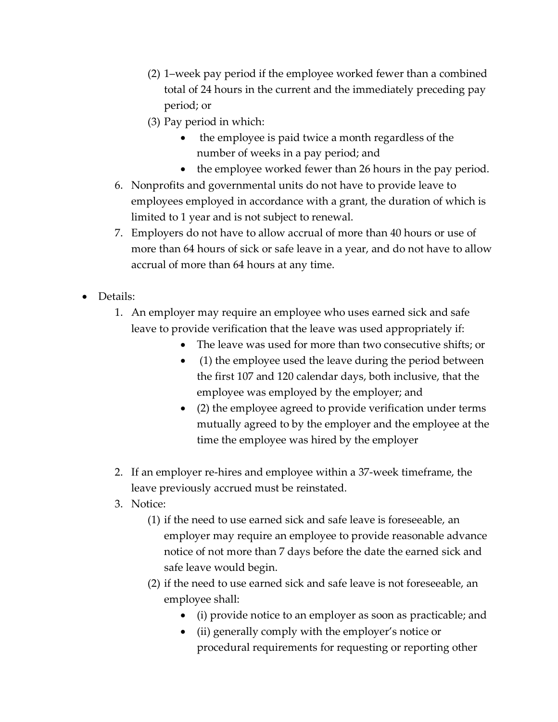- (2) 1–week pay period if the employee worked fewer than a combined total of 24 hours in the current and the immediately preceding pay period; or
- (3) Pay period in which:
	- the employee is paid twice a month regardless of the number of weeks in a pay period; and
	- the employee worked fewer than 26 hours in the pay period.
- 6. Nonprofits and governmental units do not have to provide leave to employees employed in accordance with a grant, the duration of which is limited to 1 year and is not subject to renewal.
- 7. Employers do not have to allow accrual of more than 40 hours or use of more than 64 hours of sick or safe leave in a year, and do not have to allow accrual of more than 64 hours at any time.
- Details:
	- 1. An employer may require an employee who uses earned sick and safe leave to provide verification that the leave was used appropriately if:
		- The leave was used for more than two consecutive shifts; or
		- (1) the employee used the leave during the period between the first 107 and 120 calendar days, both inclusive, that the employee was employed by the employer; and
		- (2) the employee agreed to provide verification under terms mutually agreed to by the employer and the employee at the time the employee was hired by the employer
	- 2. If an employer re-hires and employee within a 37-week timeframe, the leave previously accrued must be reinstated.
	- 3. Notice:
		- (1) if the need to use earned sick and safe leave is foreseeable, an employer may require an employee to provide reasonable advance notice of not more than 7 days before the date the earned sick and safe leave would begin.
		- (2) if the need to use earned sick and safe leave is not foreseeable, an employee shall:
			- (i) provide notice to an employer as soon as practicable; and
			- (ii) generally comply with the employer's notice or procedural requirements for requesting or reporting other